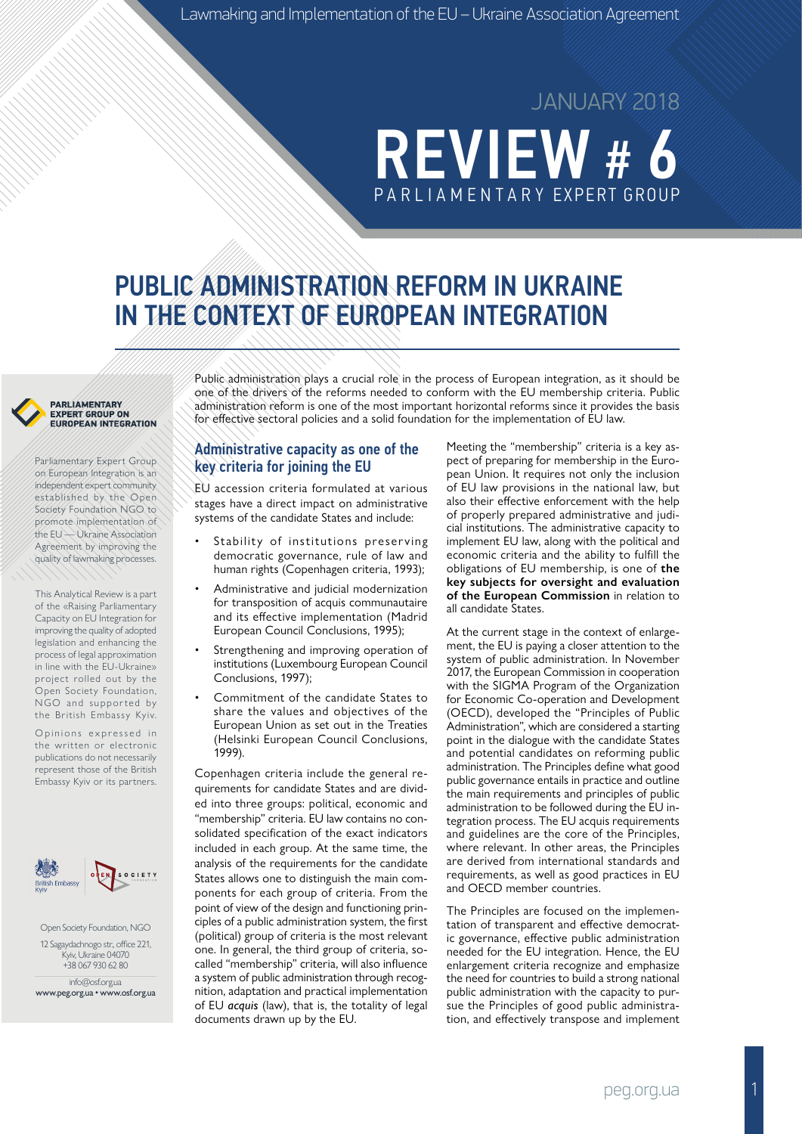# **REVIEW #** PA R L I A M E N TA R Y EXPERT GROUP

JANUARY 2018

# PUBLIC ADMINISTRATION REFORM IN UKRAINE IN THE CONTEXT OF EUROPEAN INTEGRATION



Parliamentary Expert Group on European Integration is an independent expert community established by the Open Society Foundation NGO to promote implementation of the EU — Ukraine Association Agreement by improving the quality of lawmaking processes.

This Analytical Review is a part of the «Raising Parliamentary Capacity on EU Integration for improving the quality of adopted legislation and enhancing the process of legal approximation in line with the EU-Ukraine» project rolled out by the Open Society Foundation, NGO and supported by the British Embassy Kyiv.

Opinions expressed in the written or electronic publications do not necessarily represent those of the British Embassy Kyiv or its partners.



Open Society Foundation, NGO 12 Sagaydachnogo str., office 221, Kyiv, Ukraine 04070 +38 067 930 62 80

info@osf.org.ua www.peg.org.ua • www.osf.org.ua Public administration plays a crucial role in the process of European integration, as it should be one of the drivers of the reforms needed to conform with the EU membership criteria. Public administration reform is one of the most important horizontal reforms since it provides the basis for effective sectoral policies and a solid foundation for the implementation of EU law.

#### Administrative capacity as one of the key criteria for joining the EU

EU accession criteria formulated at various stages have a direct impact on administrative systems of the candidate States and include:

- Stability of institutions preserving democratic governance, rule of law and human rights (Copenhagen criteria, 1993);
- Administrative and judicial modernization for transposition of acquis communautaire and its effective implementation (Madrid European Council Conclusions, 1995);
- Strengthening and improving operation of institutions (Luxembourg European Council Conclusions, 1997);
- Commitment of the candidate States to share the values and objectives of the European Union as set out in the Treaties (Helsinki European Council Conclusions, 1999).

Copenhagen criteria include the general requirements for candidate States and are divided into three groups: political, economic and "membership" criteria. EU law contains no consolidated specification of the exact indicators included in each group. At the same time, the analysis of the requirements for the candidate States allows one to distinguish the main components for each group of criteria. From the point of view of the design and functioning principles of a public administration system, the first (political) group of criteria is the most relevant one. In general, the third group of criteria, socalled "membership" criteria, will also influence a system of public administration through recognition, adaptation and practical implementation of EU *acquis* (law), that is, the totality of legal documents drawn up by the EU.

Meeting the "membership" criteria is a key aspect of preparing for membership in the European Union. It requires not only the inclusion of EU law provisions in the national law, but also their effective enforcement with the help of properly prepared administrative and judicial institutions. The administrative capacity to implement EU law, along with the political and economic criteria and the ability to fulfill the obligations of EU membership, is one of **the key subjects for oversight and evaluation of the European Commission** in relation to all candidate States.

At the current stage in the context of enlargement, the EU is paying a closer attention to the system of public administration. In November 2017, the European Commission in cooperation with the SIGMA Program of the Organization for Economic Co-operation and Development (OECD), developed the "Principles of Public Administration", which are considered a starting point in the dialogue with the candidate States and potential candidates on reforming public administration. The Principles define what good public governance entails in practice and outline the main requirements and principles of public administration to be followed during the EU integration process. The EU acquis requirements and guidelines are the core of the Principles, where relevant. In other areas, the Principles are derived from international standards and requirements, as well as good practices in EU and OECD member countries.

The Principles are focused on the implementation of transparent and effective democratic governance, effective public administration needed for the EU integration. Hence, the EU enlargement criteria recognize and emphasize the need for countries to build a strong national public administration with the capacity to pursue the Principles of good public administration, and effectively transpose and implement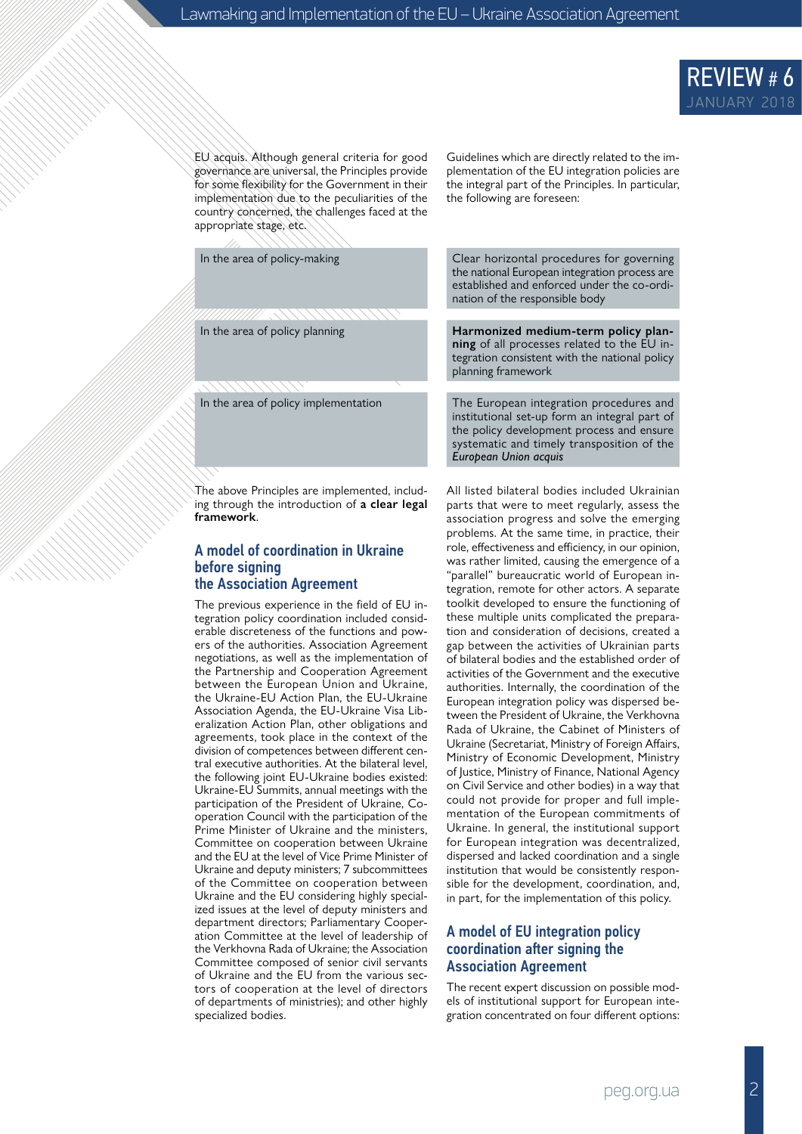

EU acquis. Although general criteria for good governance are universal, the Principles provide for some flexibility for the Government in their implementation due to the peculiarities of the country concerned, the challenges faced at the appropriate stage, etc.

The above Principles are implemented, including through the introduction of **a clear legal framework**.

#### A model of coordination in Ukraine before signing the Association Agreement

The previous experience in the field of EU integration policy coordination included considerable discreteness of the functions and powers of the authorities. Association Agreement negotiations, as well as the implementation of the Partnership and Cooperation Agreement between the European Union and Ukraine, the Ukraine-EU Action Plan, the EU-Ukraine Association Agenda, the EU-Ukraine Visa Liberalization Action Plan, other obligations and agreements, took place in the context of the division of competences between different central executive authorities. At the bilateral level, the following joint EU-Ukraine bodies existed: Ukraine-EU Summits, annual meetings with the participation of the President of Ukraine, Cooperation Council with the participation of the Prime Minister of Ukraine and the ministers, Committee on cooperation between Ukraine and the EU at the level of Vice Prime Minister of Ukraine and deputy ministers; 7 subcommittees of the Committee on cooperation between Ukraine and the EU considering highly specialized issues at the level of deputy ministers and department directors; Parliamentary Cooperation Committee at the level of leadership of the Verkhovna Rada of Ukraine; the Association Committee composed of senior civil servants of Ukraine and the EU from the various sectors of cooperation at the level of directors of departments of ministries); and other highly specialized bodies.

Guidelines which are directly related to the implementation of the EU integration policies are the integral part of the Principles. In particular, the following are foreseen:

In the area of policy-making **Clear horizontal procedures for governing** the national European integration process are established and enforced under the co-ordination of the responsible body

In the area of policy planning **Harmonized medium-term policy planning** of all processes related to the EU integration consistent with the national policy planning framework

In the area of policy implementation The European integration procedures and institutional set-up form an integral part of the policy development process and ensure systematic and timely transposition of the *European Union acquis*

> All listed bilateral bodies included Ukrainian parts that were to meet regularly, assess the association progress and solve the emerging problems. At the same time, in practice, their role, effectiveness and efficiency, in our opinion, was rather limited, causing the emergence of a "parallel" bureaucratic world of European integration, remote for other actors. A separate toolkit developed to ensure the functioning of these multiple units complicated the preparation and consideration of decisions, created a gap between the activities of Ukrainian parts of bilateral bodies and the established order of activities of the Government and the executive authorities. Internally, the coordination of the European integration policy was dispersed between the President of Ukraine, the Verkhovna Rada of Ukraine, the Cabinet of Ministers of Ukraine (Secretariat, Ministry of Foreign Affairs, Ministry of Economic Development, Ministry of Justice, Ministry of Finance, National Agency on Civil Service and other bodies) in a way that could not provide for proper and full implementation of the European commitments of Ukraine. In general, the institutional support for European integration was decentralized, dispersed and lacked coordination and a single institution that would be consistently responsible for the development, coordination, and, in part, for the implementation of this policy.

#### A model of EU integration policy coordination after signing the Association Agreement

The recent expert discussion on possible models of institutional support for European integration concentrated on four different options: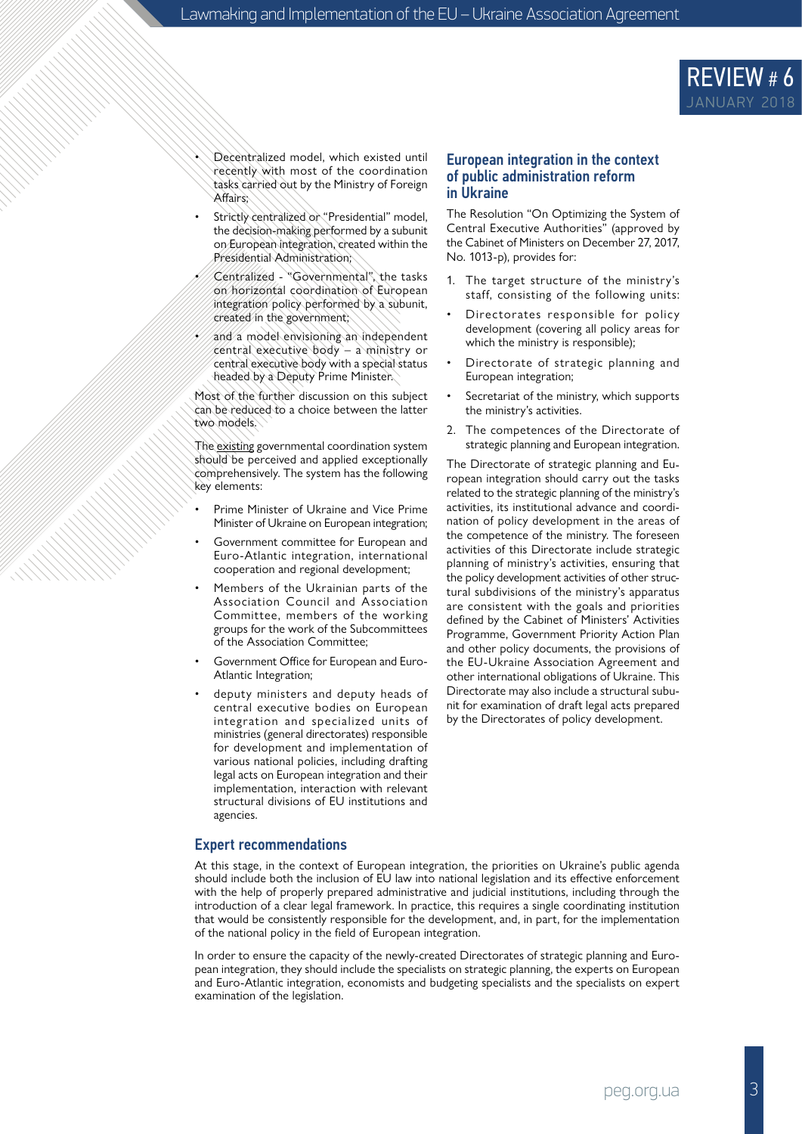

- Decentralized model, which existed until recently with most of the coordination tasks carried out by the Ministry of Foreign Affairs;
- Strictly centralized or "Presidential" model, the decision-making performed by a subunit on European integration, created within the Presidential Administration;
- Centralized "Governmental", the tasks on horizontal coordination of European integration policy performed by a subunit, created in the government;
- and a model envisioning an independent central executive body – a ministry or central executive body with a special status headed by a Deputy Prime Minister.

Most of the further discussion on this subject can be reduced to a choice between the latter two models.

The existing governmental coordination system should be perceived and applied exceptionally comprehensively. The system has the following key elements:

- Prime Minister of Ukraine and Vice Prime Minister of Ukraine on European integration;
- Government committee for European and Euro-Atlantic integration, international cooperation and regional development;
- Members of the Ukrainian parts of the Association Council and Association Committee, members of the working groups for the work of the Subcommittees of the Association Committee;
- Government Office for European and Euro-Atlantic Integration;
- deputy ministers and deputy heads of central executive bodies on European integration and specialized units of ministries (general directorates) responsible for development and implementation of various national policies, including drafting legal acts on European integration and their implementation, interaction with relevant structural divisions of EU institutions and agencies.

#### European integration in the context of public administration reform in Ukraine

The Resolution "On Optimizing the System of Central Executive Authorities" (approved by the Cabinet of Ministers on December 27, 2017, No. 1013-p), provides for:

- 1. The target structure of the ministry's staff, consisting of the following units:
- Directorates responsible for policy development (covering all policy areas for which the ministry is responsible);
- Directorate of strategic planning and European integration;
- Secretariat of the ministry, which supports the ministry's activities.
- 2. The competences of the Directorate of strategic planning and European integration.

The Directorate of strategic planning and European integration should carry out the tasks related to the strategic planning of the ministry's activities, its institutional advance and coordination of policy development in the areas of the competence of the ministry. The foreseen activities of this Directorate include strategic planning of ministry's activities, ensuring that the policy development activities of other structural subdivisions of the ministry's apparatus are consistent with the goals and priorities defined by the Cabinet of Ministers' Activities Programme, Government Priority Action Plan and other policy documents, the provisions of the EU-Ukraine Association Agreement and other international obligations of Ukraine. This Directorate may also include a structural subunit for examination of draft legal acts prepared by the Directorates of policy development.

#### Expert recommendations

At this stage, in the context of European integration, the priorities on Ukraine's public agenda should include both the inclusion of EU law into national legislation and its effective enforcement with the help of properly prepared administrative and judicial institutions, including through the introduction of a clear legal framework. In practice, this requires a single coordinating institution that would be consistently responsible for the development, and, in part, for the implementation of the national policy in the field of European integration.

In order to ensure the capacity of the newly-created Directorates of strategic planning and European integration, they should include the specialists on strategic planning, the experts on European and Euro-Atlantic integration, economists and budgeting specialists and the specialists on expert examination of the legislation.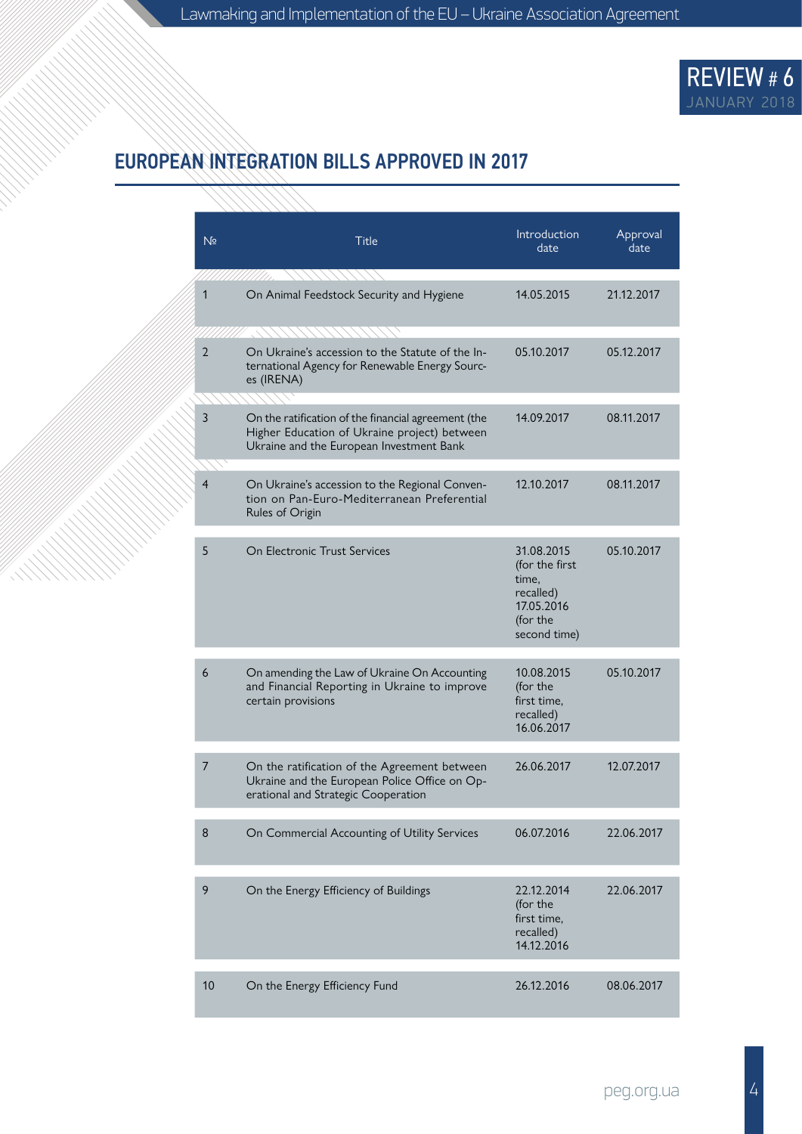

# EUROPEAN INTEGRATION BILLS APPROVED IN 2017

|  | N <sub>2</sub> | <b>Title</b>                                                                                                                                    | Introduction<br>date                                                                         | Approval<br>date |  |
|--|----------------|-------------------------------------------------------------------------------------------------------------------------------------------------|----------------------------------------------------------------------------------------------|------------------|--|
|  | 1              | On Animal Feedstock Security and Hygiene                                                                                                        | 14.05.2015                                                                                   | 21.12.2017       |  |
|  | $\overline{2}$ | On Ukraine's accession to the Statute of the In-<br>ternational Agency for Renewable Energy Sourc-<br>es (IRENA)                                | 05.10.2017                                                                                   | 05.12.2017       |  |
|  | 3              | On the ratification of the financial agreement (the<br>Higher Education of Ukraine project) between<br>Ukraine and the European Investment Bank | 14.09.2017                                                                                   | 08.11.2017       |  |
|  | 4              | On Ukraine's accession to the Regional Conven-<br>tion on Pan-Euro-Mediterranean Preferential<br>Rules of Origin                                | 12.10.2017                                                                                   | 08.11.2017       |  |
|  | 5              | On Flectronic Trust Services                                                                                                                    | 31.08.2015<br>(for the first<br>time,<br>recalled)<br>17.05.2016<br>(for the<br>second time) | 05.10.2017       |  |
|  | 6              | On amending the Law of Ukraine On Accounting<br>and Financial Reporting in Ukraine to improve<br>certain provisions                             | 10.08.2015<br>(for the<br>first time.<br>recalled)<br>16.06.2017                             | 05.10.2017       |  |
|  | 7              | On the ratification of the Agreement between<br>Ukraine and the European Police Office on Op-<br>erational and Strategic Cooperation            | 26.06.2017                                                                                   | 12.07.2017       |  |
|  | 8              | On Commercial Accounting of Utility Services                                                                                                    | 06.07.2016                                                                                   | 22.06.2017       |  |
|  | 9              | On the Energy Efficiency of Buildings                                                                                                           | 22.12.2014<br>(for the<br>first time,<br>recalled)<br>14.12.2016                             | 22.06.2017       |  |
|  | 10             | On the Energy Efficiency Fund                                                                                                                   | 26.12.2016                                                                                   | 08.06.2017       |  |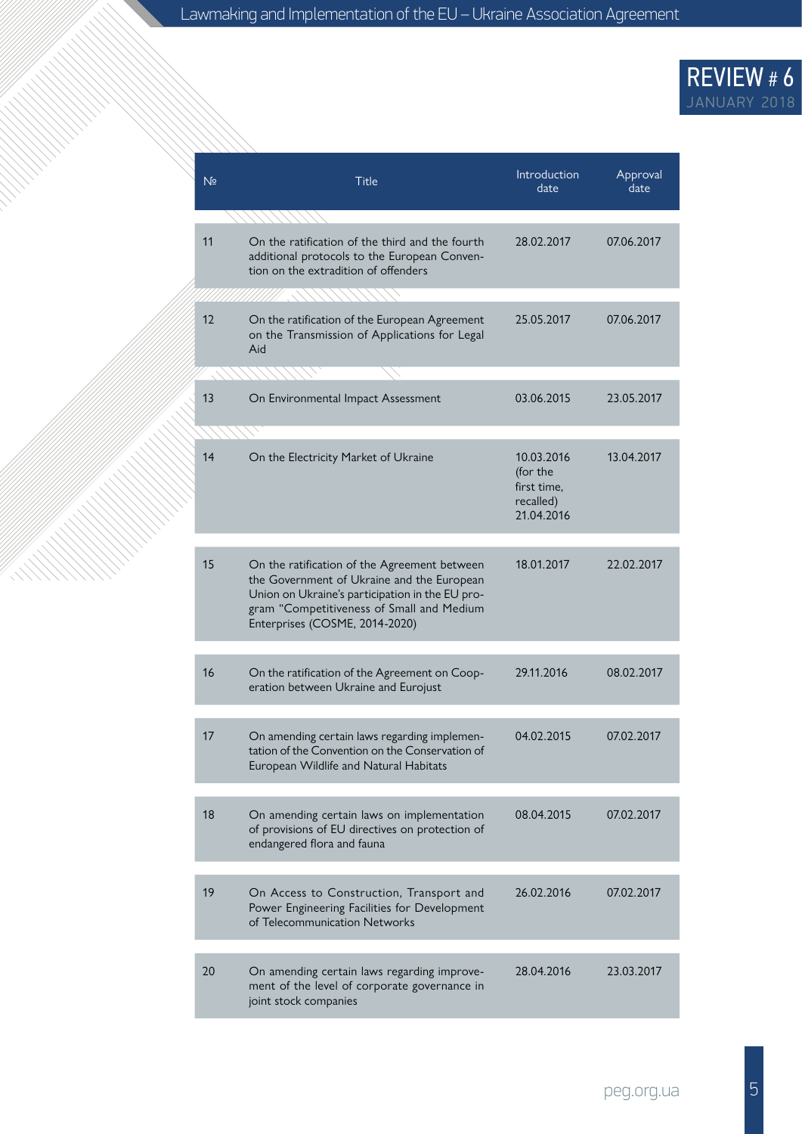# REVIEW # 6 JANUARY 2018

| N <sub>2</sub> | <b>Title</b>                                                                                                                                                                                                                 | Introduction<br>date                                             | Approval<br>date |
|----------------|------------------------------------------------------------------------------------------------------------------------------------------------------------------------------------------------------------------------------|------------------------------------------------------------------|------------------|
| 11             | On the ratification of the third and the fourth<br>additional protocols to the European Conven-<br>tion on the extradition of offenders                                                                                      | 28.02.2017                                                       | 07.06.2017       |
| 12             | On the ratification of the European Agreement<br>on the Transmission of Applications for Legal<br>Aid                                                                                                                        | 25.05.2017                                                       | 07.06.2017       |
| 13             | On Environmental Impact Assessment                                                                                                                                                                                           | 03.06.2015                                                       | 23.05.2017       |
| 14             | On the Electricity Market of Ukraine                                                                                                                                                                                         | 10.03.2016<br>(for the<br>first time.<br>recalled)<br>21.04.2016 | 13.04.2017       |
| 15             | On the ratification of the Agreement between<br>the Government of Ukraine and the European<br>Union on Ukraine's participation in the EU pro-<br>gram "Competitiveness of Small and Medium<br>Enterprises (COSME, 2014-2020) | 18.01.2017                                                       | 22.02.2017       |
| 16             | On the ratification of the Agreement on Coop-<br>eration between Ukraine and Eurojust                                                                                                                                        | 29.11.2016                                                       | 08.02.2017       |
| 17             | On amending certain laws regarding implemen-<br>tation of the Convention on the Conservation of<br>European Wildlife and Natural Habitats                                                                                    | 04.02.2015                                                       | 07.02.2017       |
| 18             | On amending certain laws on implementation<br>of provisions of EU directives on protection of<br>endangered flora and fauna                                                                                                  | 08.04.2015                                                       | 07.02.2017       |
| 19             | On Access to Construction, Transport and<br>Power Engineering Facilities for Development<br>of Telecommunication Networks                                                                                                    | 26.02.2016                                                       | 07.02.2017       |
| 20             | On amending certain laws regarding improve-<br>ment of the level of corporate governance in<br>joint stock companies                                                                                                         | 28.04.2016                                                       | 23.03.2017       |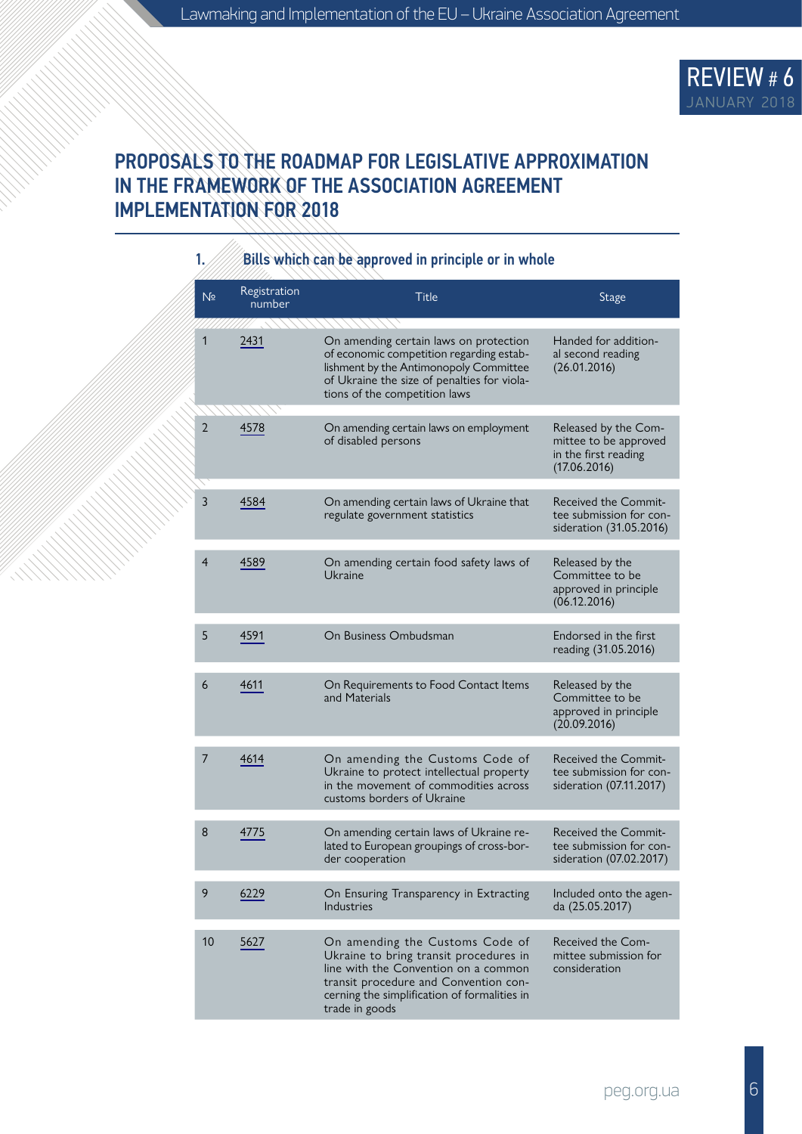

### PROPOSALS TO THE ROADMAP FOR LEGISLATIVE APPROXIMATION IN THE FRAMEWORK OF THE ASSOCIATION AGREEMENT IMPLEMENTATION FOR 2018

| 1.<br>Bills which can be approved in principle or in whole |                        |                                                                                                                                                                                                                              |                                                                                       |
|------------------------------------------------------------|------------------------|------------------------------------------------------------------------------------------------------------------------------------------------------------------------------------------------------------------------------|---------------------------------------------------------------------------------------|
| N <sub>2</sub>                                             | Registration<br>number | <b>Title</b>                                                                                                                                                                                                                 | Stage                                                                                 |
| 1                                                          | 2431                   | On amending certain laws on protection<br>of economic competition regarding estab-<br>lishment by the Antimonopoly Committee<br>of Ukraine the size of penalties for viola-<br>tions of the competition laws                 | Handed for addition-<br>al second reading<br>(26.01.2016)                             |
| 2                                                          | 4578                   | On amending certain laws on employment<br>of disabled persons                                                                                                                                                                | Released by the Com-<br>mittee to be approved<br>in the first reading<br>(17.06.2016) |
| 3                                                          | 4584                   | On amending certain laws of Ukraine that<br>regulate government statistics                                                                                                                                                   | Received the Commit-<br>tee submission for con-<br>sideration (31.05.2016)            |
| $\overline{4}$                                             | 4589                   | On amending certain food safety laws of<br>Ukraine                                                                                                                                                                           | Released by the<br>Committee to be<br>approved in principle<br>(06.12.2016)           |
| 5                                                          | 4591                   | On Business Ombudsman                                                                                                                                                                                                        | Endorsed in the first<br>reading (31.05.2016)                                         |
| 6                                                          | 4611                   | On Requirements to Food Contact Items<br>and Materials                                                                                                                                                                       | Released by the<br>Committee to be<br>approved in principle<br>(20.09.2016)           |
| 7                                                          | 4614                   | On amending the Customs Code of<br>Ukraine to protect intellectual property<br>in the movement of commodities across<br>customs borders of Ukraine                                                                           | Received the Commit-<br>tee submission for con-<br>sideration (07.11.2017)            |
| 8                                                          | 4775                   | On amending certain laws of Ukraine re-<br>lated to European groupings of cross-bor-<br>der cooperation                                                                                                                      | Received the Commit-<br>tee submission for con-<br>sideration (07.02.2017)            |
| 9                                                          | 6229                   | On Ensuring Transparency in Extracting<br>Industries                                                                                                                                                                         | Included onto the agen-<br>da (25.05.2017)                                            |
| 10                                                         | 5627                   | On amending the Customs Code of<br>Ukraine to bring transit procedures in<br>line with the Convention on a common<br>transit procedure and Convention con-<br>cerning the simplification of formalities in<br>trade in goods | Received the Com-<br>mittee submission for<br>consideration                           |